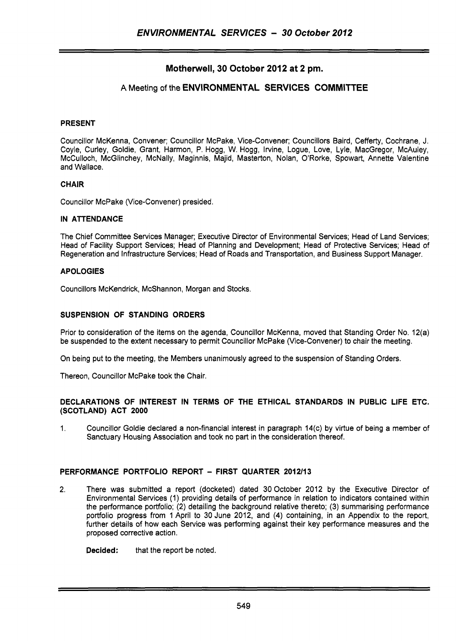# **Mothenvell, 30 October 2012 at 2 pm.**

# **A** Meeting of the **ENVIRONMENTAL SERVICES COMMITTEE**

## **PRESENT**

Councillor McKenna, Convener; Councillor McPake, Vice-Convener; Councillors Baird, Cefferty, Cochrane, J. Coyle, Curley, Goldie, Grant, Harmon, P. Hogg, W. Hogg, Irvine, Logue, Love, Lyle, MacGregor, McAuley, McCulloch, McGlinchey, McNally, Maginnis, Majid, Masterton, Nolan, O'Rorke, Spowart, Annette Valentine and Wallace.

## **CHAIR**

Councillor McPake (Vice-Convener) presided.

## **IN ATTENDANCE**

The Chief Committee Services Manager; Executive Director of Environmental Services; Head of Land Services; Head of Facility Support Services; Head of Planning and Development; Head of Protective Services; Head of Regeneration and Infrastructure Services; Head of Roads and Transportation, and Business Support Manager.

## **APOLOGIES**

Councillors McKendrick, McShannon, Morgan and Stocks.

## **SUSPENSION OF STANDING ORDERS**

Prior to consideration of the items on the agenda, Councillor McKenna, moved that Standing Order No. 12(a) be suspended to the extent necessary to permit Councillor McPake (Vice-Convener) to chair the meeting.

On being put to the meeting, the Members unanimously agreed to the suspension of Standing Orders.

Thereon, Councillor McPake took the Chair.

## **DECLARATIONS OF INTEREST IN TERMS OF THE ETHICAL STANDARDS IN PUBLIC LIFE ETC. (SCOTLAND) ACT 2000**

1. Councillor Goldie declared a non-financial interest in paragraph 14(c) by virtue of being a member of Sanctuary Housing Association and took no part in the consideration thereof.

# **PERFORMANCE PORTFOLIO REPORT** - **FIRST QUARTER 2012/13**

2. There was submitted a report (docketed) dated 30 October 2012 by the Executive Director of Environmental Services (1) providing details of performance in relation to indicators contained within the performance portfolio; (2) detailing the background relative thereto; (3) summarising performance portfolio progress from **1** April to 30 June 2012, and (4) containing, in an Appendix to the report, further details of how each Service was performing against their key performance measures and the proposed corrective action.

**Decided:** that the report be noted.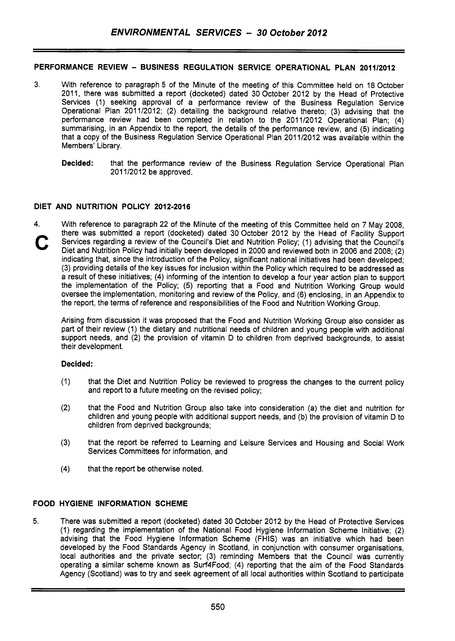# **PERFORMANCE REVIEW - BUSINESS REGULATION SERVICE OPERATIONAL PLAN 2011/2012**

- **3.** With reference to paragraph 5 of the Minute of the meeting of this Committee held on 18 October 2011, there was submitted a report (docketed) dated 30 October 2012 by the Head of Protective Services (1) seeking approval of a performance review of the Business Regulation Service Operational Plan 2011/2012; (2) detailing the background relative thereto; (3) advising that the performance review had been completed in relation to the 2011/2012 Operational Plan; (4) summarising, in an Appendix to the report, the details of the performance review, and (5) indicating that a copy of the Business Regulation Service Operational Plan 2011/2012 was available within the Members' Library.
	- **Decided:** that the performance review of the Business Regulation Service Operational Plan 201 1/2012 be approved.

## **DIET AND NUTRITION POLICY 2012-2016**

**4.**  c With reference to paragraph 22 of the Minute of the meeting of this Committee held on 7 May 2008, there was submitted a report (docketed) dated 30 October 2012 by the Head of Facility Support Services regarding a review of the Council's Diet and Nutrition Policy; (1) advising that the Council's Diet and Nutrition Policy had initially been developed in 2000 and reviewed both in 2006 and 2008; (2) indicating that, since the introduction of the Policy, significant national initiatives had been developed; (3) providing details of the key issues for inclusion within the Policy which required to be addressed as a result of these initiatives; **(4)** informing of the intention to develop a four year action plan to support the implementation of the Policy; (5) reporting that a Food and Nutrition Working Group would oversee the implementation, monitoring and review of the Policy, and (6) enclosing, in an Appendix to the report, the terms of reference and responsibilities of the Food and Nutrition Working Group.

Arising from discussion it was proposed that the Food and Nutrition Working Group also consider as part of their review (1) the dietary and nutritional needs of children and young people with additional support needs, and (2) the provision of vitamin D to children from deprived backgrounds, to assist their development.

#### **Decided:**

- (1) that the Diet and Nutrition Policy be reviewed to progress the changes to the current policy and report to a future meeting on the revised policy;
- (2) that the Food and Nutrition Group also take into consideration (a) the diet and nutrition for children and young people with additional support needs, and (b) the provision of vitamin D to children from deprived backgrounds;
- **(3)** that the report be referred to Learning and Leisure Services and Housing and Social Work Services Committees for information, and
- **(4)** that the report be otherwise noted.

## **FOOD HYGIENE INFORMATION SCHEME**

**5.** There was submitted a report (docketed) dated 30 October 2012 by the Head of Protective Services (1) regarding the implementation of the National Food Hygiene Information Scheme Initiative; (2) advising that the Food Hygiene Information Scheme (FHIS) was an initiative which had been developed by the Food Standards Agency in Scotland, in conjunction with consumer organisations, local authorities and the private sector; (3) reminding Members that the Council was currently operating a similar scheme known as Surf4Food; **(4)** reporting that the aim of the Food Standards Agency (Scotland) was to try and seek agreement of all local authorities within Scotland to participate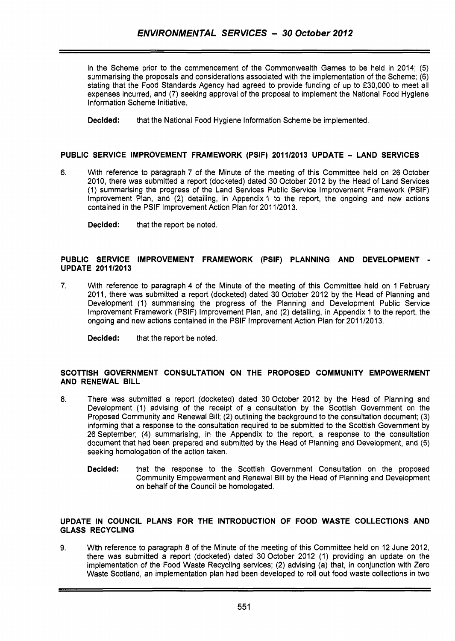in the Scheme prior to the commencement of the Commonwealth Games to be held in 2014; (5) summarising the proposals and considerations associated with the implementation of the Scheme; (6) stating that the Food Standards Agency had agreed to provide funding of up to £30,000 to meet all expenses incurred, and (7) seeking approval of the proposal to implement the National Food Hygiene Information Scheme Initiative.

**Decided:** that the National Food Hygiene Information Scheme be implemented.

# **PUBLIC SERVICE IMPROVEMENT FRAMEWORK (PSIF) 2011/2013 UPDATE - LAND SERVICES**

*6.* With reference to paragraph 7 of the Minute of the meeting of this Committee held on 26 October 2010, there was submitted a report (docketed) dated 30 October 2012 by the Head of Land Services (1) summarising the progress of the Land Services Public Service Improvement Framework (PSIF) Improvement Plan, and (2) detailing, in Appendix **7** to the report, the ongoing and new actions contained in the PSIF Improvement Action Plan for 201 1/2013.

**Decided:** that the report be noted.

## **PUBLIC SERVICE IMPROVEMENT FRAMEWORK (PSIF) PLANNING AND DEVELOPMENT** - **UPDATE 2011/2013**

**7.** With reference to paragraph **4** of the Minute of the meeting of this Committee held on 1 February 2011, there was submitted a report (docketed) dated 30 October 2012 by the Head of Planning and Development (1) summarising the progress of the Planning and Development Public Service Improvement Framework (PSIF) Improvement Plan, and (2) detailing, in Appendix 1 to the report, the ongoing and new actions contained in the PSIF Improvement Action Plan for 201 1/2013.

**Decided:** that the report be noted.

## **SCOTTISH GOVERNMENT CONSULTATION ON THE PROPOSED COMMUNITY EMPOWERMENT AND RENEWAL BILL**

- **8.** There was submitted a report (docketed) dated 30October 2012 by the Head of Planning and Development (1) advising of the receipt of a consultation by the Scottish Government on the Proposed Community and Renewal Bill; (2) outlining the background to the consultation document; (3) informing that a response to the consultation required to be submitted to the Scottish Government by 26 September; **(4)** summarising, in the Appendix to the report, a response to the consultation document that had been prepared and submitted by the Head of Planning and Development, and (5) seeking homologation of the action taken.
	- **Decided:** that the response to the Scottish Government Consultation on the proposed Community Empowerment and Renewal Bill by the Head of Planning and Development on behalf of the Council be homologated.

## **UPDATE IN COUNCIL PLANS FOR THE INTRODUCTION OF FOOD WASTE COLLECTIONS AND GLASS RECYCLING**

**9.** With reference to paragraph 8 of the Minute of the meeting of this Committee held on 12 June 2012, there was submitted a report (docketed) dated 30 October 2012 (1) providing an update on the implementation of the Food Waste Recycling services; (2) advising (a) that, in conjunction with Zero Waste Scotland, an implementation plan had been developed to roll out food waste collections in two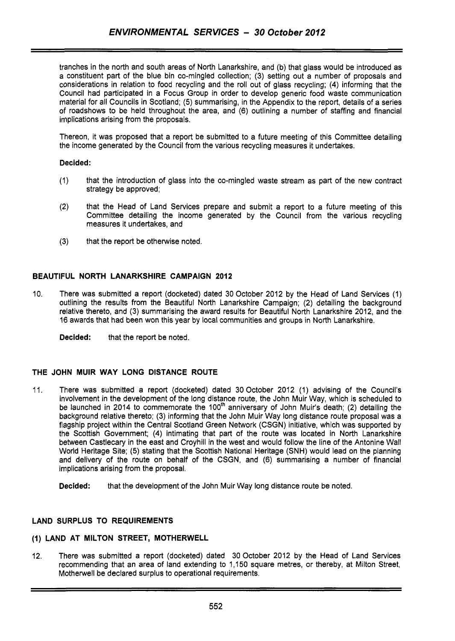tranches in the north and south areas of North Lanarkshire, and (b) that glass would be introduced as a constituent part of the blue bin co-mingled collection; (3) setting out a number of proposals and considerations in relation to food recycling and the roll out of glass recycling; **(4)** informing that the Council had participated in a Focus Group in order to develop generic food waste communication material for all Councils in Scotland; (5) summarising, in the Appendix to the report, details of a series of roadshows to be held throughout the area, and (6) outlining a number of staffing and financial implications arising from the proposals.

Thereon, it was proposed that a report be submitted to a future meeting of this Committee detailing the income generated by the Council from the various recycling measures it undertakes.

## **Decided:**

- (1) that the introduction of glass into the co-mingled waste stream as part of the new contract strategy be approved;
- (2) that the Head of Land Services prepare and submit a report to a future meeting of this Committee detailing the income generated by the Council from the various recycling measures it undertakes, and
- **(3)** that the report be otherwise noted.

# **BEAUTIFUL NORTH LANARKSHIRE CAMPAIGN 2012**

10. There was submitted a report (docketed) dated 30 October 2012 by the Head of Land Services (1) outlining the results from the Beautiful North Lanarkshire Campaign; (2) detailing the background relative thereto, and (3) summarising the award results for Beautiful North Lanarkshire 2012, and the 16 awards that had been won this year by local communities and groups in North Lanarkshire.

**Decided:** that the report be noted.

## **THE JOHN MUlR WAY LONG DISTANCE ROUTE**

11. There was submitted a report (docketed) dated 30 October 2012 (1) advising of the Council's involvement in the development of the long distance route, the John Muir Way, which is scheduled to be launched in 2014 to commemorate the 100<sup>th</sup> anniversary of John Muir's death; (2) detailing the background relative thereto; (3) informing that the John Muir Way long distance route proposal was a flagship project within the Central Scotland Green Network (CSGN) initiative, which was supported by the Scottish Government; **(4)** intimating that part of the route was located in North Lanarkshire between Castlecary in the east and Croyhill in the west and would follow the line of the Antonine Wall World Heritage Site; (5) stating that the Scottish National Heritage (SNH) would lead on the planning and delivery of the route on behalf of the CSGN, and (6) summarising a number of financial implications arising from the proposal.

# **LAND SURPLUS TO REQUIREMENTS**

## **(1) LAND AT MILTON STREET, MOTHERWELL**

12. There was submitted a report (docketed) dated 30 October 2012 by the Head of Land Services recommending that an area of land extending to 1,150 square metres, or thereby, at Milton Street, Motherwell be declared surplus to operational requirements.

**Decided:** that the development of the John Muir Way long distance route be noted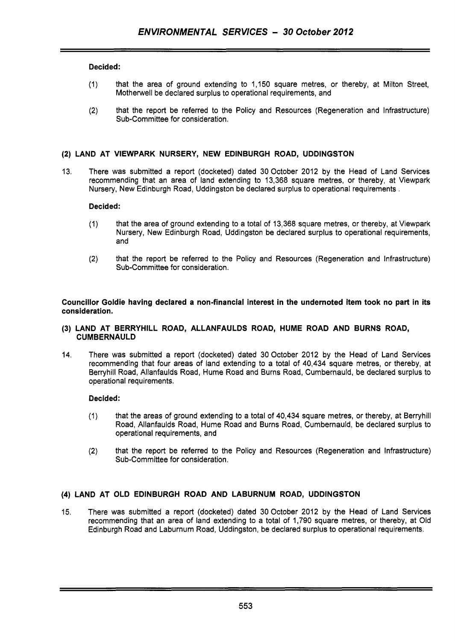## **Decided:**

- (1) that the area of ground extending to 1,150 square metres, or thereby, at Milton Street, Motherwell be declared surplus to operational requirements, and
- (2) that the report be referred to the Policy and Resources (Regeneration and Infrastructure) Sub-Committee for consideration.

## **(2) LAND AT VIEWPARK NURSERY, NEW EDINBURGH ROAD, UDDINGSTON**

13. There was submitted a report (docketed) dated 30October 2012 by the Head of Land Services recommending that an area of land extending to 13,368 square metres, or thereby, at Viewpark Nursery, New Edinburgh Road, Uddingston be declared surplus to operational requirements .

## **Decided:**

- (1) that the area of ground extending to a total of 13,368 square metres, or thereby, at Viewpark Nursery, New Edinburgh Road, Uddingston be declared surplus to operational requirements, and
- (2) that the report be referred to the Policy and Resources (Regeneration and Infrastructure) Sub-Committee for consideration.

**Councillor Goldie having declared a non-financial interest in the undernoted item took no part in its consideration.** 

#### **(3) LAND AT BERRYHILL ROAD, ALLANFAULDS ROAD, HUME ROAD AND BURNS ROAD, CUMBERNAULD**

14. There was submitted a report (docketed) dated 30October 2012 by the Head of Land Services recommending that four areas of land extending to a total of 40,434 square metres, or thereby, at Berryhill Road, Allanfaulds Road, Hume Road and Burns Road, Cumbernauld, be declared surplus to operational requirements.

## **Decided:**

- (1) that the areas of ground extending to a total of 40,434 square metres, or thereby, at Berryhill Road, Allanfaulds Road, Hume Road and Burns Road, Cumbernauld, be declared surplus to operational requirements, and
- (2) that the report be referred to the Policy and Resources (Regeneration and Infrastructure) Sub-Committee for consideration.

# **(4) LAND AT OLD EDINBURGH ROAD AND LABURNUM ROAD, UDDINGSTON**

15. There was submitted a report (docketed) dated 30 October 2012 by the Head of Land Services recommending that an area of land extending to a total of 1,790 square metres, or thereby, at Old Edinburgh Road and Laburnum Road, Uddingston, be declared surplus to operational requirements.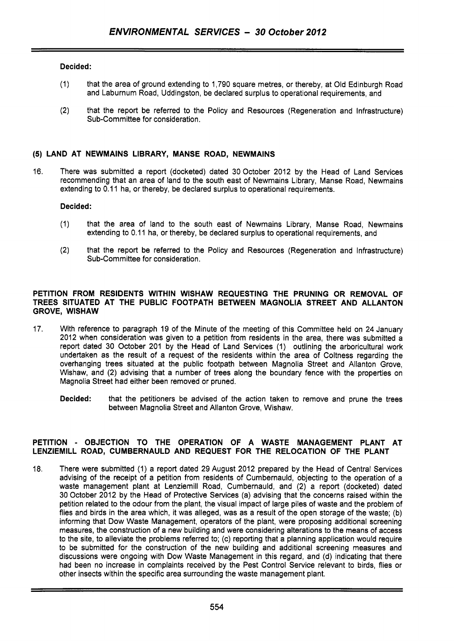## **Decided:**

- (1) that the area of ground extending to 1,790 square metres, or thereby, at Old Edinburgh Road and Laburnum Road, Uddingston, be declared surplus to operational requirements, and
- (2) that the report be referred to the Policy and Resources (Regeneration and Infrastructure) Sub-Committee for consideration.

#### **(5) LAND AT NEWMAINS LIBRARY, MANSE ROAD, NEWMAINS**

16. There was submitted a report (docketed) dated 30October 2012 by the Head of Land Services recommending that an area of land to the south east of Newmains Library, Manse Road, Newmains extending to 0.11 ha, or thereby, be declared surplus to operational requirements.

#### **Decided:**

- (1) that the area of land to the south east of Newmains Library, Manse Road, Newmains extending to 0.11 ha, or thereby, be declared surplus to operational requirements, and
- (2) that the report be referred to the Policy and Resources (Regeneration and Infrastructure) Sub-Committee for consideration.

#### **PETITION FROM RESIDENTS WITHIN WISHAW REQUESTING THE PRUNING OR REMOVAL OF TREES SITUATED AT THE PUBLIC FOOTPATH BETWEEN MAGNOLIA STREET AND ALLANTON GROVE, WISHAW**

- 17. With reference to paragraph 19 of the Minute of the meeting of this Committee held on 24 January 2012 when consideration was given to a petition from residents in the area, there was submitted a report dated 30 October 201 by the Head of Land Services (1) outlining the arboricultural work undertaken as the result of a request of the residents within the area of Coltness regarding the overhanging trees situated at the public footpath between Magnolia Street and Allanton Grove, Wishaw, and (2) advising that a number of trees along the boundary fence with the properties on Magnolia Street had either been removed or pruned.
	- **Decided:** that the petitioners be advised of the action taken to remove and prune the trees between Magnolia Street and Allanton Grove, Wishaw.

#### **PETITION** - **OBJECTION TO THE OPERATION OF A WASTE MANAGEMENT PLANT AT LENZIEMILL ROAD, CUMBERNAULD AND REQUEST FOR THE RELOCATION OF THE PLANT**

**18.** There were submitted (1) a report dated 29 August 2012 prepared by the Head of Central Services advising of the receipt of a petition from residents of Cumbernauld, objecting to the operation of a waste management plant at Lenziemill Road, Cumbernauld, and **(2)** a report (docketed) dated 30 October 2012 by the Head of Protective Services (a) advising that the concerns raised within the petition related to the odour from the plant, the visual impact of large piles of waste and the problem of flies and birds in the area which, it was alleged, was as a result of the open storage of the waste; (b) informing that Dow Waste Management, operators of the plant, were proposing additional screening measures, the construction of a new building and were considering alterations to the means of access to the site, to alleviate the problems referred to; (c) reporting that a planning application would require to be submitted for the construction of the new building and additional screening measures and discussions were ongoing with Dow Waste Management in this regard, and (d) indicating that there had been no increase in complaints received by the Pest Control Service relevant to birds, flies or other insects within the specific area surrounding the waste management plant.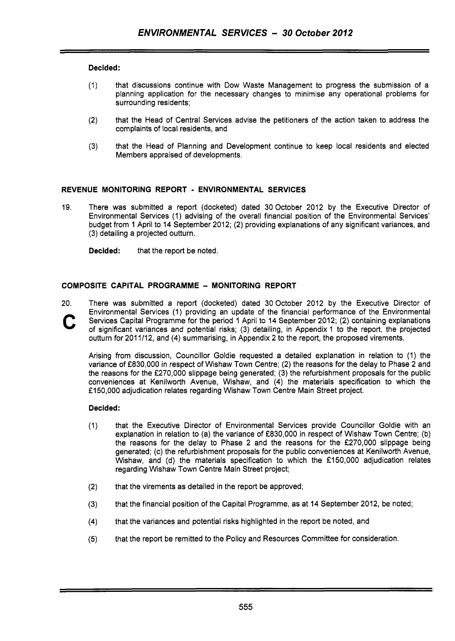## **Decided:**

- (1) that discussions continue with Dow Waste Management to progress the submission of a planning application for the necessary changes to minimise any operational problems for surrounding residents;
- that the Head of Central Services advise the petitioners of the action taken to address the (2) that the Head of Central Services<br>complaints of local residents, and
- (3) that the Head of Planning and Development continue to keep local residents and elected Members appraised of developments.

# **REVENUE MONITORING REPORT** - **ENVIRONMENTAL SERVICES**

19. There was submitted a report (docketed) dated 30 October 2012 by the Executive Director of Environmental Services (1 ) advising of the overall financial position of the Environmental Services' budget from 1 April to 14 September 2012; (2) providing explanations of any significant variances, and (3) detailing a projected outturn.

**Decided:** that the report be noted.

# **COMPOSITE CAPITAL PROGRAMME** - **MONITORING REPORT**

20. c There was submitted a report (docketed) dated 30 October 2012 by the Executive Director of Environmental Services (1) providing an update of the financial performance of the Environmental Services Capital Programme for the period 1 April to 14 September 2012; (2) containing explanations of significant variances and potential risks; (3) detailing, in Appendix 1 to the report, the projected outturn for 2011/12, and (4) summarising, in Appendix 2 to the report, the proposed virements.

Arising from discussion, Councillor Goldie requested a detailed explanation in relation to (1) the variance of £830,000 in respect of Wishaw Town Centre; (2) the reasons for the delay to Phase 2 and the reasons for the f270,OOO slippage being generated; (3) the refurbishment proposals for the public conveniences at Kenilworth Avenue, Wishaw, and **(4)** the materials specification to which the £150,000 adjudication relates regarding Wishaw Town Centre Main Street project.

## **Decided:**

- (1) that the Executive Director of Environmental Services provide Councillor Goldie with an explanation in relation to (a) the variance of £830,000 in respect of Wishaw Town Centre; (b) the reasons for the delay to Phase 2 and the reasons for the f270,OOO slippage being generated; (c) the refurbishment proposals for the public conveniences at Kenilworth Avenue, Wishaw, and (d) the materials specification to which the £150,000 adjudication relates regarding Wishaw Town Centre Main Street project;
- (2) that the virements as detailed in the report be approved;
- (3) that the financial position of the Capital Programme, as at 14 September 2012, be noted;
- (4) that the variances and potential risks highlighted in the report be noted, and
- (5) that the report be remitted to the Policy and Resources Committee for consideration.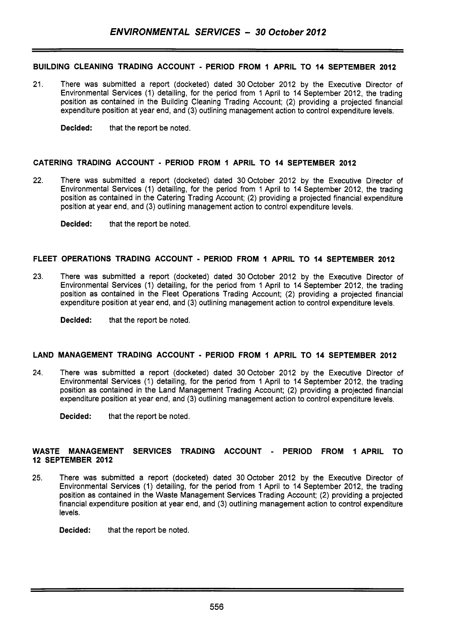## **BUILDING CLEANING TRADING ACCOUNT** - **PERIOD FROM 1 APRIL TO 14 SEPTEMBER 2012**

21. There was submitted a report (docketed) dated 30 October 2012 by the Executive Director of Environmental Services (1) detailing, for the period from 1 April to 14 September 2012, the trading position as contained in the Building Cleaning Trading Account; (2) providing a projected financial expenditure position at year end, and (3) outlining management action to control expenditure levels.

**Decided:** that the report be noted.

#### **CATERING TRADING ACCOUNT** - **PERIOD FROM 1 APRIL TO 14 SEPTEMBER 2012**

22. There was submitted a report (docketed) dated 30October 2012 by the Executive Director of Environmental Services (1) detailing, for the period from 1 April to 14 September 2012, the trading position as contained in the Catering Trading Account; (2) providing a projected financial expenditure position at year end, and (3) outlining management action to control expenditure levels.

**Decided:** that the report be noted.

## **FLEET OPERATIONS TRADING ACCOUNT** - **PERIOD FROM 1 APRIL TO 14 SEPTEMBER 2012**

23. There was submitted a report (docketed) dated 30October 2012 by the Executive Director of Environmental Services (1) detailing, for the period from 1 April to 14 September 2012, the trading position **as** contained in the Fleet Operations Trading Account; (2) providing a projected financial expenditure position at year end, and (3) outlining management action to control expenditure levels.

**Decided:** that the report be noted.

#### **LAND MANAGEMENT TRADING ACCOUNT** - **PERIOD FROM 1 APRIL TO 14 SEPTEMBER 2012**

24. There was submitted a report (docketed) dated 30 October 2012 by the Executive Director of Environmental Services (1) detailing, for the period from 1 April to 14 September 2012, the trading position as contained in the Land Management Trading Account; (2) providing a projected financial expenditure position at year end, and (3) outlining management action to control expenditure levels.

**Decided:** that the report be noted.

#### **WASTE MANAGEMENT SERVICES TRADING ACCOUNT** - **PERIOD FROM 1 APRIL TO 12 SEPTEMBER 2012**

25. There was submitted a report (docketed) dated 30 October 2012 by the Executive Director of Environmental Services (1) detailing, for the period from 1 April to 14 September 2012, the trading position as contained in the Waste Management Services Trading Account; (2) providing a projected financial expenditure position at year end, and (3) outlining management action to control expenditure levels.

**Decided:** that the report be noted.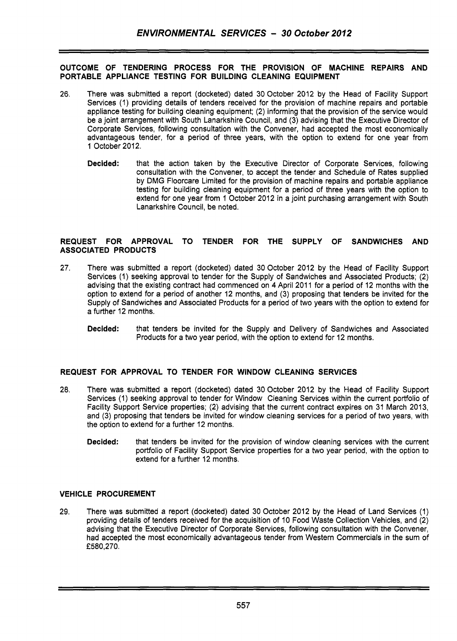## **OUTCOME OF TENDERING PROCESS FOR THE PROVISION OF MACHINE REPAIRS AND PORTABLE APPLIANCE TESTING FOR BUILDING CLEANING EQUIPMENT**

- **26.** There was submitted a report (docketed) dated 30 October **2012** by the Head of Facility Support Services (1) providing details of tenders received for the provision of machine repairs and portable appliance testing for building cleaning equipment; **(2)** informing that the provision of the service would be a joint arrangement with South Lanarkshire Council, and (3) advising that the Executive Director of Corporate Services, following consultation with the Convener, had accepted the most economically advantageous tender, for a period of three years, with the option to extend for one year from **<sup>1</sup>**October **2012.** 
	- **Decided:** that the action taken by the Executive Director of Corporate Services, following consultation with the Convener, to accept the tender and Schedule of Rates supplied by DMG Floorcare Limited for the provision of machine repairs and portable appliance testing for building cleaning equipment for a period of three years with the option to extend for one year from 1 October **2012** in a joint purchasing arrangement with South Lanarkshire Council, be noted.

#### **REQUEST FOR APPROVAL TO TENDER FOR THE SUPPLY OF SANDWICHES AND ASSOCIATED PRODUCTS**

- **27.** There was submitted a report (docketed) dated 30 October **2012** by the Head of Facility Support Services (1) seeking approval to tender for the Supply of Sandwiches and Associated Products; **(2)**  advising that the existing contract had commenced on **4** April **201 1** for a period of **12** months with the option to extend for a period of another **12** months, and (3) proposing that tenders be invited for the Supply of Sandwiches and Associated Products for a period of two years with the option to extend for a further **12** months.
	- **Decided:** that tenders be invited for the Supply and Delivery of Sandwiches and Associated Products for a two year period, with the option to extend for **12** months.

## **REQUEST FOR APPROVAL TO TENDER FOR WINDOW CLEANING SERVICES**

- **28.** There was submitted a report (docketed) dated 30October **2012** by the Head of Facility Support Services **(1)** seeking approval to tender for Window Cleaning Services within the current portfolio of Facility Support Service properties; **(2)** advising that the current contract expires on **31** March **2013,**  and (3) proposing that tenders be invited for window cleaning services for a period of two years, with the option to extend for a further **12** months.
	- **Decided:** that tenders be invited for the provision of window cleaning services with the current portfolio of Facility Support Service properties for a two year period, with the option to extend for a further **12** months.

## **VEHICLE PROCUREMENT**

**29.** There was submitted a report (docketed) dated **30** October **2012** by the Head of Land Services (1) providing details of tenders received for the acquisition of 10 Food Waste Collection Vehicles, and **(2)**  advising that the Executive Director of Corporate Services, following consultation with the Convener, had accepted the most economically advantageous tender from Western Commercials in the sum of **f580,270.**